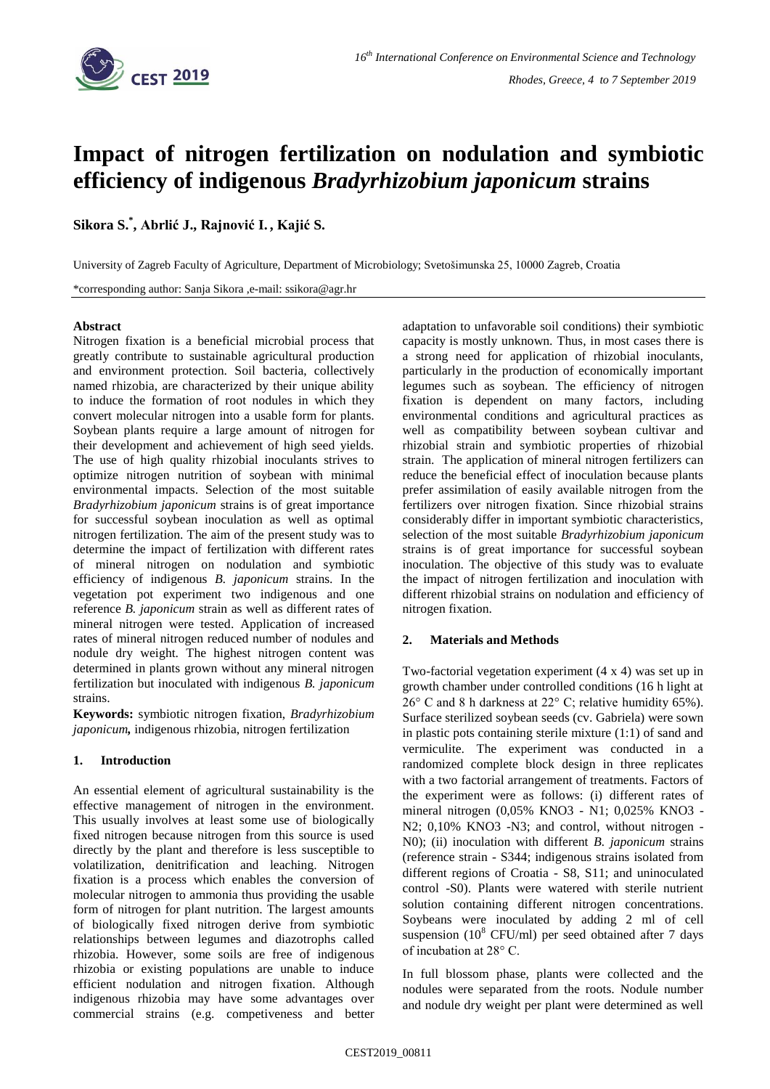

# **Impact of nitrogen fertilization on nodulation and symbiotic efficiency of indigenous** *Bradyrhizobium japonicum* **strains**

**Sikora S. \* , Abrlić J., Rajnović I. , Kajić S.**

University of Zagreb Faculty of Agriculture, Department of Microbiology; Svetošimunska 25, 10000 Zagreb, Croatia

\*corresponding author: Sanja Sikora ,e-mail: ssikora@agr.hr

### **Abstract**

Nitrogen fixation is a beneficial microbial process that greatly contribute to sustainable agricultural production and environment protection. Soil bacteria, collectively named rhizobia, are characterized by their unique ability to induce the formation of root nodules in which they convert molecular nitrogen into a usable form for plants. Soybean plants require a large amount of nitrogen for their development and achievement of high seed yields. The use of high quality rhizobial inoculants strives to optimize nitrogen nutrition of soybean with minimal environmental impacts. Selection of the most suitable *Bradyrhizobium japonicum* strains is of great importance for successful soybean inoculation as well as optimal nitrogen fertilization. The aim of the present study was to determine the impact of fertilization with different rates of mineral nitrogen on nodulation and symbiotic efficiency of indigenous *B. japonicum* strains. In the vegetation pot experiment two indigenous and one reference *B. japonicum* strain as well as different rates of mineral nitrogen were tested. Application of increased rates of mineral nitrogen reduced number of nodules and nodule dry weight. The highest nitrogen content was determined in plants grown without any mineral nitrogen fertilization but inoculated with indigenous *B. japonicum* strains.

**Keywords:** symbiotic nitrogen fixation, *Bradyrhizobium japonicum,* indigenous rhizobia, nitrogen fertilization

## **1. Introduction**

An essential element of agricultural sustainability is the effective management of nitrogen in the environment. This usually involves at least some use of biologically fixed nitrogen because nitrogen from this source is used directly by the plant and therefore is less susceptible to volatilization, denitrification and leaching. Nitrogen fixation is a process which enables the conversion of molecular nitrogen to ammonia thus providing the usable form of nitrogen for plant nutrition. The largest amounts of biologically fixed nitrogen derive from symbiotic relationships between legumes and diazotrophs called rhizobia. However, some soils are free of indigenous rhizobia or existing populations are unable to induce efficient nodulation and nitrogen fixation. Although indigenous rhizobia may have some advantages over commercial strains (e.g. competiveness and better adaptation to unfavorable soil conditions) their symbiotic capacity is mostly unknown. Thus, in most cases there is a strong need for application of rhizobial inoculants, particularly in the production of economically important legumes such as soybean. The efficiency of nitrogen fixation is dependent on many factors, including environmental conditions and agricultural practices as well as compatibility between soybean cultivar and rhizobial strain and symbiotic properties of rhizobial strain. The application of mineral nitrogen fertilizers can reduce the beneficial effect of inoculation because plants prefer assimilation of easily available nitrogen from the fertilizers over nitrogen fixation. Since rhizobial strains considerably differ in important symbiotic characteristics, selection of the most suitable *Bradyrhizobium japonicum* strains is of great importance for successful soybean inoculation. The objective of this study was to evaluate the impact of nitrogen fertilization and inoculation with different rhizobial strains on nodulation and efficiency of nitrogen fixation.

## **2. Materials and Methods**

Two-factorial vegetation experiment (4 x 4) was set up in growth chamber under controlled conditions (16 h light at 26° C and 8 h darkness at 22° C; relative humidity 65%). Surface sterilized soybean seeds (cv. Gabriela) were sown in plastic pots containing sterile mixture (1:1) of sand and vermiculite. The experiment was conducted in a randomized complete block design in three replicates with a two factorial arrangement of treatments. Factors of the experiment were as follows: (i) different rates of mineral nitrogen (0,05% KNO3 - N1; 0,025% KNO3 - N2; 0,10% KNO3 -N3; and control, without nitrogen - N0); (ii) inoculation with different *B. japonicum* strains (reference strain - S344; indigenous strains isolated from different regions of Croatia - S8, S11; and uninoculated control -S0). Plants were watered with sterile nutrient solution containing different nitrogen concentrations. Soybeans were inoculated by adding 2 ml of cell suspension  $(10^8 \text{ CFU/ml})$  per seed obtained after 7 days of incubation at 28° C.

In full blossom phase, plants were collected and the nodules were separated from the roots. Nodule number and nodule dry weight per plant were determined as well